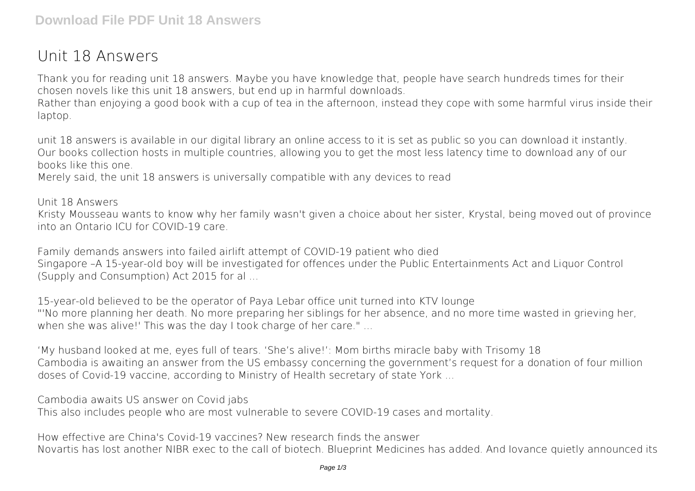## **Unit 18 Answers**

Thank you for reading **unit 18 answers**. Maybe you have knowledge that, people have search hundreds times for their chosen novels like this unit 18 answers, but end up in harmful downloads.

Rather than enjoying a good book with a cup of tea in the afternoon, instead they cope with some harmful virus inside their laptop.

unit 18 answers is available in our digital library an online access to it is set as public so you can download it instantly. Our books collection hosts in multiple countries, allowing you to get the most less latency time to download any of our books like this one.

Merely said, the unit 18 answers is universally compatible with any devices to read

Unit 18 Answers

Kristy Mousseau wants to know why her family wasn't given a choice about her sister, Krystal, being moved out of province into an Ontario ICU for COVID-19 care.

Family demands answers into failed airlift attempt of COVID-19 patient who died Singapore –A 15-year-old boy will be investigated for offences under the Public Entertainments Act and Liquor Control (Supply and Consumption) Act 2015 for al ...

15-year-old believed to be the operator of Paya Lebar office unit turned into KTV lounge "'No more planning her death. No more preparing her siblings for her absence, and no more time wasted in grieving her, when she was alive!' This was the day I took charge of her care." ...

'My husband looked at me, eyes full of tears. 'She's alive!': Mom births miracle baby with Trisomy 18 Cambodia is awaiting an answer from the US embassy concerning the government's request for a donation of four million doses of Covid-19 vaccine, according to Ministry of Health secretary of state York ...

Cambodia awaits US answer on Covid jabs

This also includes people who are most vulnerable to severe COVID-19 cases and mortality.

How effective are China's Covid-19 vaccines? New research finds the answer Novartis has lost another NIBR exec to the call of biotech. Blueprint Medicines has added. And Iovance quietly announced its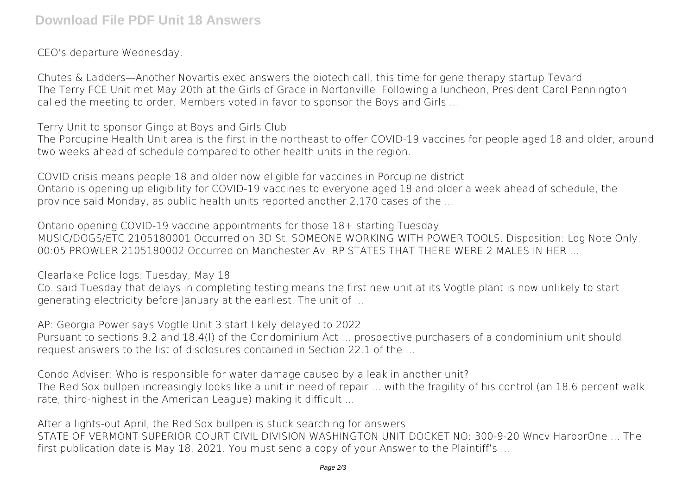CEO's departure Wednesday.

Chutes & Ladders—Another Novartis exec answers the biotech call, this time for gene therapy startup Tevard The Terry FCE Unit met May 20th at the Girls of Grace in Nortonville. Following a luncheon, President Carol Pennington called the meeting to order. Members voted in favor to sponsor the Boys and Girls ...

Terry Unit to sponsor Gingo at Boys and Girls Club

The Porcupine Health Unit area is the first in the northeast to offer COVID-19 vaccines for people aged 18 and older, around two weeks ahead of schedule compared to other health units in the region.

COVID crisis means people 18 and older now eligible for vaccines in Porcupine district Ontario is opening up eligibility for COVID-19 vaccines to everyone aged 18 and older a week ahead of schedule, the province said Monday, as public health units reported another 2,170 cases of the ...

Ontario opening COVID-19 vaccine appointments for those 18+ starting Tuesday MUSIC/DOGS/ETC 2105180001 Occurred on 3D St. SOMEONE WORKING WITH POWER TOOLS. Disposition: Log Note Only. 00:05 PROWLER 2105180002 Occurred on Manchester Ay, RP STATES THAT THERE WERE 2 MALES IN HER

Clearlake Police logs: Tuesday, May 18

Co. said Tuesday that delays in completing testing means the first new unit at its Vogtle plant is now unlikely to start generating electricity before January at the earliest. The unit of ...

AP: Georgia Power says Vogtle Unit 3 start likely delayed to 2022 Pursuant to sections 9.2 and 18.4(l) of the Condominium Act ... prospective purchasers of a condominium unit should request answers to the list of disclosures contained in Section 22.1 of the ...

Condo Adviser: Who is responsible for water damage caused by a leak in another unit? The Red Sox bullpen increasingly looks like a unit in need of repair ... with the fragility of his control (an 18.6 percent walk rate, third-highest in the American League) making it difficult ...

After a lights-out April, the Red Sox bullpen is stuck searching for answers STATE OF VERMONT SUPERIOR COURT CIVIL DIVISION WASHINGTON UNIT DOCKET NO: 300-9-20 Wncv HarborOne ... The first publication date is May 18, 2021. You must send a copy of your Answer to the Plaintiff's ...